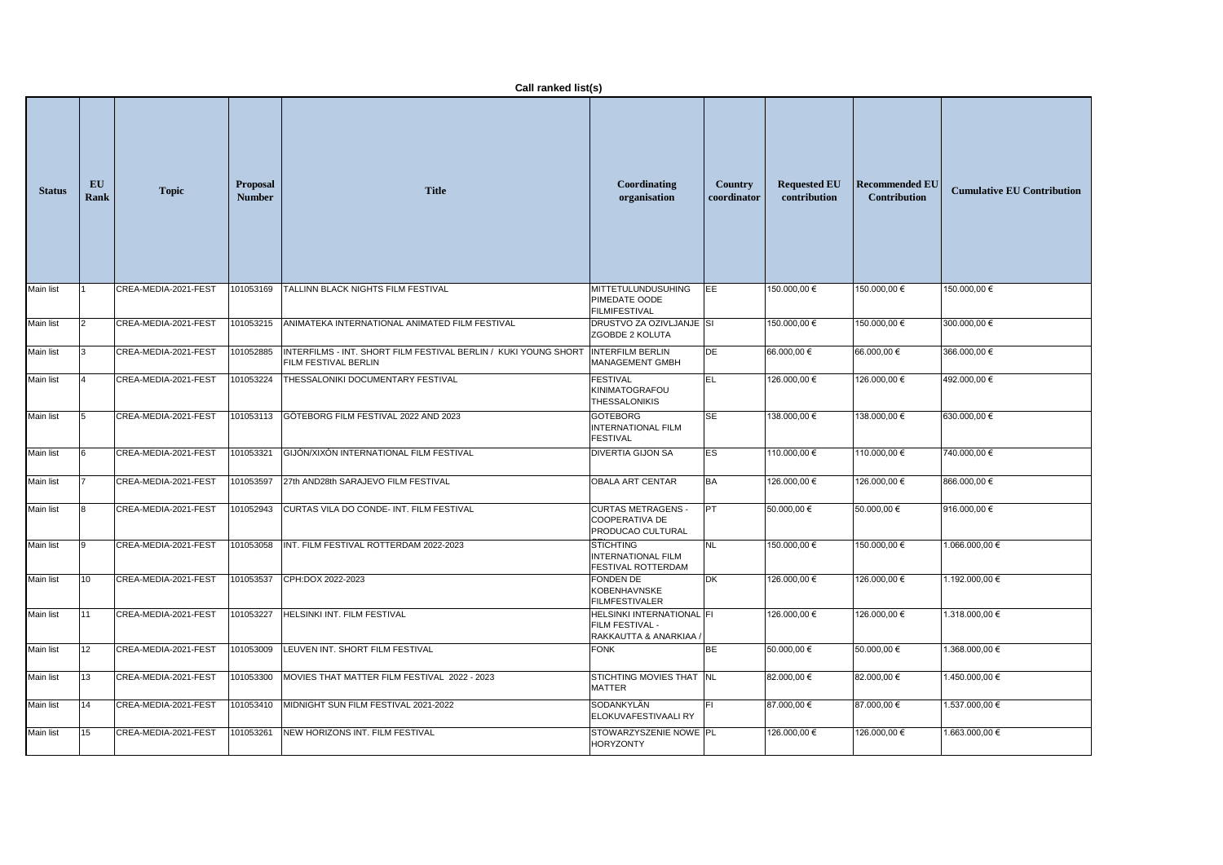|                  | Call ranked list(s) |                      |                                  |                                                                                                |                                                                      |                               |                                     |                                              |                                   |  |
|------------------|---------------------|----------------------|----------------------------------|------------------------------------------------------------------------------------------------|----------------------------------------------------------------------|-------------------------------|-------------------------------------|----------------------------------------------|-----------------------------------|--|
| <b>Status</b>    | EU<br>Rank          | <b>Topic</b>         | <b>Proposal</b><br><b>Number</b> | <b>Title</b>                                                                                   | Coordinating<br>organisation                                         | <b>Country</b><br>coordinator | <b>Requested EU</b><br>contribution | <b>Recommended EU</b><br><b>Contribution</b> | <b>Cumulative EU Contribution</b> |  |
| Main list        |                     | CREA-MEDIA-2021-FEST | 101053169                        | <b>TALLINN BLACK NIGHTS FILM FESTIVAL</b>                                                      | <b>MITTETULUNDUSUHING</b><br>PIMEDATE OODE<br><b>FILMIFESTIVAL</b>   | EE                            | 150.000,00 €                        | 150.000,00 €                                 | 150.000,00 €                      |  |
| Main list        |                     | CREA-MEDIA-2021-FEST | 101053215                        | ANIMATEKA INTERNATIONAL ANIMATED FILM FESTIVAL                                                 | DRUSTVO ZA OZIVLJANJE SI<br>ZGOBDE 2 KOLUTA                          |                               | 150.000,00 €                        | 150.000,00 €                                 | 300.000,00 €                      |  |
| Main list        |                     | CREA-MEDIA-2021-FEST | 101052885                        | INTERFILMS - INT. SHORT FILM FESTIVAL BERLIN / KUKI YOUNG SHORT<br><b>FILM FESTIVAL BERLIN</b> | <b>INTERFILM BERLIN</b><br>MANAGEMENT GMBH                           | DE                            | 66.000,00 €                         | 66.000,00 €                                  | 366.000,00 €                      |  |
| Main list        |                     | CREA-MEDIA-2021-FEST | 101053224                        | THESSALONIKI DOCUMENTARY FESTIVAL                                                              | <b>FESTIVAL</b><br>KINIMATOGRAFOU<br><b>THESSALONIKIS</b>            | IEL                           | 126.000,00 €                        | 126.000,00 €                                 | 492.000,00 €                      |  |
| Main list        |                     | CREA-MEDIA-2021-FEST |                                  | 101053113 GÖTEBORG FILM FESTIVAL 2022 AND 2023                                                 | <b>GOTEBORG</b><br><b>INTERNATIONAL FILM</b><br><b>FESTIVAL</b>      | SE                            | 138.000,00 €                        | 138.000,00 €                                 | 630.000,00 €                      |  |
| Main list        |                     | CREA-MEDIA-2021-FEST | 101053321                        | GIJÓN/XIXÓN INTERNATIONAL FILM FESTIVAL                                                        | <b>DIVERTIA GIJON SA</b>                                             | ES                            | 110.000,00 €                        | 110.000,00 €                                 | 740.000,00 €                      |  |
| Main list        |                     | CREA-MEDIA-2021-FEST | 101053597                        | 27th AND28th SARAJEVO FILM FESTIVAL                                                            | <b>OBALA ART CENTAR</b>                                              | <b>BA</b>                     | 126.000,00 €                        | 126.000,00 €                                 | 866.000,00 €                      |  |
| Main list        |                     | CREA-MEDIA-2021-FEST |                                  | 101052943 CURTAS VILA DO CONDE-INT. FILM FESTIVAL                                              | <b>CURTAS METRAGENS -</b><br>COOPERATIVA DE<br>PRODUCAO CULTURAL     |                               | 50.000,00 €                         | $50.000,00 \in$                              | 916.000,00 €                      |  |
| <b>Main list</b> | 9                   | CREA-MEDIA-2021-FEST | 101053058                        | INT. FILM FESTIVAL ROTTERDAM 2022-2023                                                         | <b>STICHTING</b><br><b>INTERNATIONAL FILM</b><br>FESTIVAL ROTTERDAM  | <b>NL</b>                     | 150.000,00 €                        | 150.000,00 €                                 | 1.066.000,00 €                    |  |
| <b>Main list</b> | 10                  | CREA-MEDIA-2021-FEST | 101053537                        | CPH:DOX 2022-2023                                                                              | <b>FONDEN DE</b><br>KOBENHAVNSKE<br><b>FILMFESTIVALER</b>            | <b>DK</b>                     | 126.000,00 €                        | 126.000,00 €                                 | 1.192.000,00 €                    |  |
| Main list        | 11                  | CREA-MEDIA-2021-FEST | 101053227                        | HELSINKI INT. FILM FESTIVAL                                                                    | HELSINKI INTERNATIONAL FI<br>FILM FESTIVAL -<br>RAKKAUTTA & ANARKIAA |                               | 126.000,00 €                        | 126.000,00 €                                 | 1.318.000,00 €                    |  |
| Main list        | 12                  | CREA-MEDIA-2021-FEST | 101053009                        | LEUVEN INT. SHORT FILM FESTIVAL                                                                | <b>FONK</b>                                                          | <b>BE</b>                     | 50.000,00 €                         | 50.000,00 €                                  | 1.368.000,00 €                    |  |
| Main list        | 13                  | CREA-MEDIA-2021-FEST | 101053300                        | MOVIES THAT MATTER FILM FESTIVAL 2022 - 2023                                                   | STICHTING MOVIES THAT INL<br><b>MATTER</b>                           |                               | 82.000,00 €                         | 82.000,00 €                                  | 1.450.000,00 €                    |  |
| Main list        | 14                  | CREA-MEDIA-2021-FEST |                                  | 101053410 MIDNIGHT SUN FILM FESTIVAL 2021-2022                                                 | SODANKYLÄN<br>ELOKUVAFESTIVAALI RY                                   |                               | 87.000,00 €                         | 87.000,00 €                                  | 1.537.000,00 €                    |  |
| Main list        | 15                  | CREA-MEDIA-2021-FEST | 101053261                        | NEW HORIZONS INT. FILM FESTIVAL                                                                | STOWARZYSZENIE NOWE   PL<br><b>HORYZONTY</b>                         |                               | 126.000,00 €                        | 126.000,00 €                                 | 1.663.000,00 €                    |  |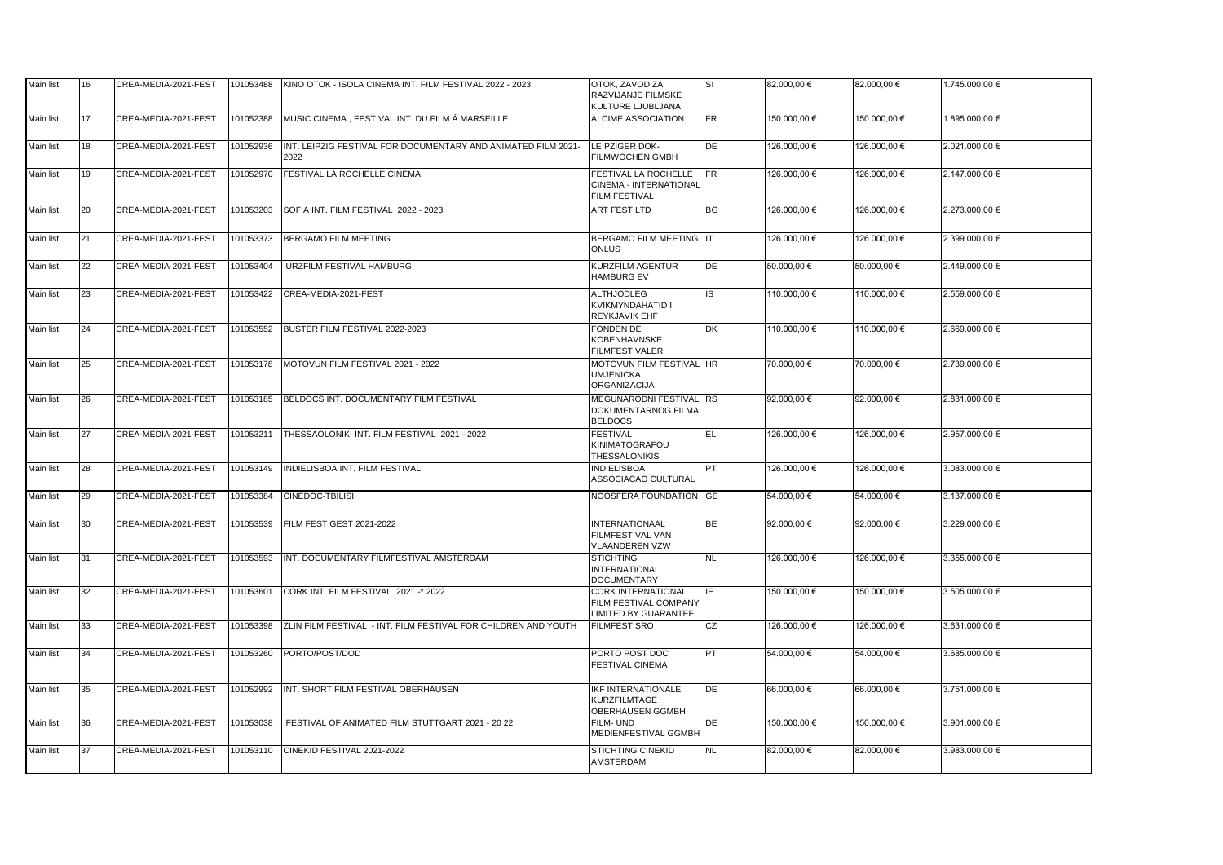| Main list        | 16        | CREA-MEDIA-2021-FEST | 101053488 | KINO OTOK - ISOLA CINEMA INT. FILM FESTIVAL 2022 - 2023               | OTOK, ZAVOD ZA<br>RAZVIJANJE FILMSKE<br>KULTURE LJUBLJANA                  | ISL       | 82.000,00 €  | 82.000,00 €  | 1.745.000,00 € |
|------------------|-----------|----------------------|-----------|-----------------------------------------------------------------------|----------------------------------------------------------------------------|-----------|--------------|--------------|----------------|
| <b>Main list</b> | 17        | CREA-MEDIA-2021-FEST | 101052388 | MUSIC CINEMA, FESTIVAL INT. DU FILM Á MARSEILLE                       | <b>ALCIME ASSOCIATION</b>                                                  | FR.       | 150.000,00 € | 150.000,00 € | 1.895.000,00 € |
| Main list        | 18        | CREA-MEDIA-2021-FEST | 101052936 | INT. LEIPZIG FESTIVAL FOR DOCUMENTARY AND ANIMATED FILM 2021-<br>2022 | LEIPZIGER DOK-<br><b>FILMWOCHEN GMBH</b>                                   | DE        | 126.000,00 € | 126.000,00 € | 2.021.000,00 € |
| Main list        | 19        | CREA-MEDIA-2021-FEST | 101052970 | <b>FESTIVAL LA ROCHELLE CINÉMA</b>                                    | FESTIVAL LA ROCHELLE<br>CINEMA - INTERNATIONAL<br><b>FILM FESTIVAL</b>     | FR.       | 126.000,00 € | 126.000,00 € | 2.147.000,00 € |
| Main list        | 20        | CREA-MEDIA-2021-FEST | 101053203 | SOFIA INT. FILM FESTIVAL 2022 - 2023                                  | <b>ART FEST LTD</b>                                                        | <b>BG</b> | 126.000,00 € | 126.000,00 € | 2.273.000,00 € |
| Main list        | 21        | CREA-MEDIA-2021-FEST | 101053373 | <b>BERGAMO FILM MEETING</b>                                           | BERGAMO FILM MEETING IT<br><b>ONLUS</b>                                    |           | 126.000,00 € | 126.000,00 € | 2.399.000,00 € |
| <b>Main list</b> | 22        | CREA-MEDIA-2021-FEST | 101053404 | URZFILM FESTIVAL HAMBURG                                              | <b>KURZFILM AGENTUR</b><br><b>HAMBURG EV</b>                               | DE        | 50.000,00 €  | 50.000,00 €  | 2.449.000,00 € |
| Main list        | 23        | CREA-MEDIA-2021-FEST | 101053422 | CREA-MEDIA-2021-FEST                                                  | <b>ALTHJODLEG</b><br><b>KVIKMYNDAHATID I</b><br><b>REYKJAVIK EHF</b>       | IS.       | 110.000,00 € | 110.000,00 € | 2.559.000,00 € |
| <b>Main list</b> | 24        | CREA-MEDIA-2021-FEST | 101053552 | BUSTER FILM FESTIVAL 2022-2023                                        | <b>FONDEN DE</b><br>KOBENHAVNSKE<br><b>FILMFESTIVALER</b>                  | DK        | 110.000,00 € | 110.000,00 € | 2.669.000,00 € |
| Main list        | 25        | CREA-MEDIA-2021-FEST | 101053178 | MOTOVUN FILM FESTIVAL 2021 - 2022                                     | MOTOVUN FILM FESTIVAL HR<br><b>UMJENICKA</b><br>ORGANIZACIJA               |           | 70.000,00 €  | 70.000,00 €  | 2.739.000,00 € |
| Main list        | 26        | CREA-MEDIA-2021-FEST | 101053185 | BELDOCS INT. DOCUMENTARY FILM FESTIVAL                                | MEGUNARODNI FESTIVAL RS<br><b>DOKUMENTARNOG FILMA</b><br><b>BELDOCS</b>    |           | 92.000,00 €  | 92.000,00 €  | 2.831.000,00 € |
| Main list        | 27        | CREA-MEDIA-2021-FEST | 101053211 | THESSAOLONIKI INT. FILM FESTIVAL 2021 - 2022                          | <b>FESTIVAL</b><br><b>KINIMATOGRAFOU</b><br><b>THESSALONIKIS</b>           | EL        | 126.000,00 € | 126.000,00 € | 2.957.000,00 € |
| Main list        | 28        | CREA-MEDIA-2021-FEST | 101053149 | <b>INDIELISBOA INT. FILM FESTIVAL</b>                                 | <b>INDIELISBOA</b><br>ASSOCIACAO CULTURAL                                  |           | 126.000,00 € | 126.000,00 € | 3.083.000,00 € |
| <b>Main list</b> | <b>29</b> | CREA-MEDIA-2021-FEST |           | 101053384 CINEDOC-TBILISI                                             | NOOSFERA FOUNDATION GE                                                     |           | 54.000,00 €  | 54.000,00 €  | 3.137.000,00 € |
| Main list        | 30        | CREA-MEDIA-2021-FEST | 101053539 | FILM FEST GEST 2021-2022                                              | INTERNATIONAAL<br><b>FILMFESTIVAL VAN</b><br><b>VLAANDEREN VZW</b>         | <b>BE</b> | 92.000,00 €  | 92.000,00 €  | 3.229.000,00 € |
| Main list        | 31        | CREA-MEDIA-2021-FEST | 101053593 | INT. DOCUMENTARY FILMFESTIVAL AMSTERDAM                               | <b>STICHTING</b><br>INTERNATIONAL<br><b>DOCUMENTARY</b>                    | <b>NL</b> | 126.000,00 € | 126.000,00 € | 3.355.000,00 € |
| Main list        | 32        | CREA-MEDIA-2021-FEST | 101053601 | CORK INT. FILM FESTIVAL 2021 -* 2022                                  | <b>CORK INTERNATIONAL</b><br>FILM FESTIVAL COMPANY<br>LIMITED BY GUARANTEE | IE        | 150.000,00 € | 150.000,00 € | 3.505.000,00 € |
| <b>Main list</b> | 33        | CREA-MEDIA-2021-FEST | 101053398 | ZLIN FILM FESTIVAL - INT. FILM FESTIVAL FOR CHILDREN AND YOUTH        | <b>FILMFEST SRO</b>                                                        | CZ        | 126.000,00 € | 126.000,00 € | 3.631.000,00 € |
| <b>Main list</b> | 34        | CREA-MEDIA-2021-FEST | 101053260 | PORTO/POST/DOD                                                        | PORTO POST DOC<br><b>FESTIVAL CINEMA</b>                                   | <b>PT</b> | 54.000,00 €  | 54.000,00 €  | 3.685.000,00 € |
| <b>Main list</b> | 35        | CREA-MEDIA-2021-FEST | 101052992 | INT. SHORT FILM FESTIVAL OBERHAUSEN                                   | <b>IKF INTERNATIONALE</b><br>KURZFILMTAGE<br><b>OBERHAUSEN GGMBH</b>       | DE        | 66.000,00 €  | 66.000,00 €  | 3.751.000,00 € |
| Main list        | 36        | CREA-MEDIA-2021-FEST | 101053038 | FESTIVAL OF ANIMATED FILM STUTTGART 2021 - 20 22                      | FILM-UND<br>MEDIENFESTIVAL GGMBH                                           | DE        | 150.000,00 € | 150.000,00 € | 3.901.000,00 € |
| Main list        | 37        | CREA-MEDIA-2021-FEST | 101053110 | CINEKID FESTIVAL 2021-2022                                            | <b>STICHTING CINEKID</b><br><b>AMSTERDAM</b>                               | <b>NL</b> | 82.000,00 €  | 82.000,00 €  | 3.983.000,00 € |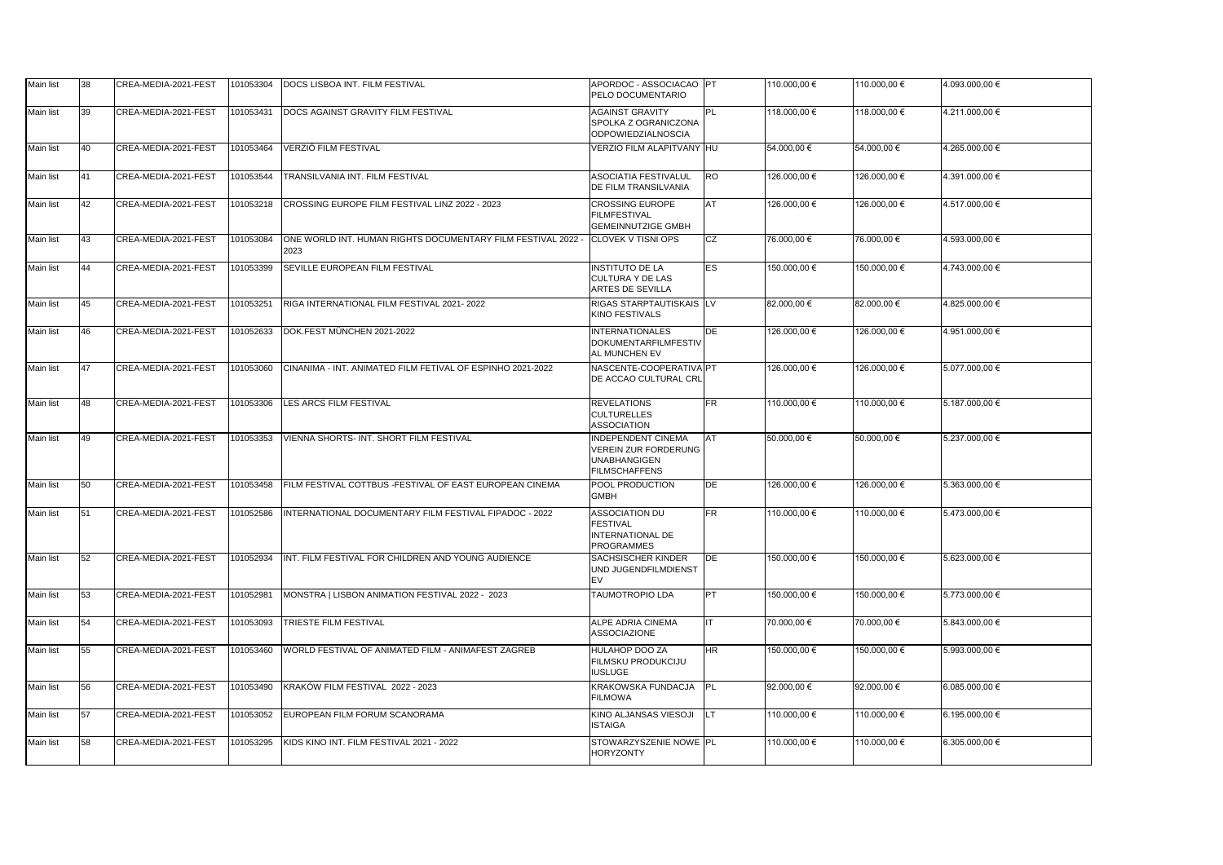| <b>Main list</b> | 38 | CREA-MEDIA-2021-FEST | 101053304 | DOCS LISBOA INT. FILM FESTIVAL                                       | APORDOC - ASSOCIACAO PT<br>PELO DOCUMENTARIO                                                     |            | 110.000,00 € | 110.000,00 € | 4.093.000,00 €     |
|------------------|----|----------------------|-----------|----------------------------------------------------------------------|--------------------------------------------------------------------------------------------------|------------|--------------|--------------|--------------------|
| <b>Main list</b> | 39 | CREA-MEDIA-2021-FEST | 101053431 | DOCS AGAINST GRAVITY FILM FESTIVAL                                   | <b>AGAINST GRAVITY</b><br>SPOLKA Z OGRANICZONA<br><b>ODPOWIEDZIALNOSCIA</b>                      | PL         | 118.000,00 € | 118.000,00 € | 4.211.000,00 €     |
| Main list        | 40 | CREA-MEDIA-2021-FEST | 101053464 | VERZIÓ FILM FESTIVAL                                                 | VERZIO FILM ALAPITVANY HU                                                                        |            | 54.000,00 €  | 54.000,00 €  | 4.265.000,00 €     |
| Main list        | 41 | CREA-MEDIA-2021-FEST | 101053544 | TRANSILVANIA INT. FILM FESTIVAL                                      | <b>ASOCIATIA FESTIVALUL</b><br><b>DE FILM TRANSILVANIA</b>                                       | <b>IRO</b> | 126.000,00 € | 126.000,00 € | 4.391.000,00 €     |
| Main list        | 42 | CREA-MEDIA-2021-FEST | 101053218 | CROSSING EUROPE FILM FESTIVAL LINZ 2022 - 2023                       | <b>CROSSING EUROPE</b><br><b>FILMFESTIVAL</b><br><b>GEMEINNUTZIGE GMBH</b>                       | <b>AT</b>  | 126.000,00 € | 126.000,00 € | 4.517.000,00 €     |
| Main list        | 43 | CREA-MEDIA-2021-FEST | 101053084 | ONE WORLD INT. HUMAN RIGHTS DOCUMENTARY FILM FESTIVAL 2022 -<br>2023 | <b>CLOVEK V TISNI OPS</b>                                                                        | <b>CZ</b>  | 76.000,00 €  | 76.000,00 €  | 4.593.000,00 €     |
| Main list        | 44 | CREA-MEDIA-2021-FEST | 101053399 | <b>SEVILLE EUROPEAN FILM FESTIVAL</b>                                | <b>INSTITUTO DE LA</b><br><b>CULTURA Y DE LAS</b><br>ARTES DE SEVILLA                            | <b>IES</b> | 150.000,00 € | 150.000,00 € | 4.743.000,00 €     |
| Main list        | 45 | CREA-MEDIA-2021-FEST | 101053251 | RIGA INTERNATIONAL FILM FESTIVAL 2021-2022                           | RIGAS STARPTAUTISKAIS LV<br><b>KINO FESTIVALS</b>                                                |            | 82.000,00 €  | 82.000,00 €  | 4.825.000,00 €     |
| Main list        | 46 | CREA-MEDIA-2021-FEST | 101052633 | DOK.FEST MÜNCHEN 2021-2022                                           | <b>INTERNATIONALES</b><br>DOKUMENTARFILMFESTIV<br>AL MUNCHEN EV                                  | <b>IDE</b> | 126.000,00 € | 126.000,00 € | 4.951.000,00 €     |
| <b>Main list</b> | 47 | CREA-MEDIA-2021-FEST | 101053060 | CINANIMA - INT. ANIMATED FILM FETIVAL OF ESPINHO 2021-2022           | NASCENTE-COOPERATIVA PT<br>DE ACCAO CULTURAL CRL                                                 |            | 126.000,00 € | 126.000,00 € | 5.077.000,00 €     |
| Main list        | 48 | CREA-MEDIA-2021-FEST | 101053306 | LES ARCS FILM FESTIVAL                                               | <b>REVELATIONS</b><br><b>CULTURELLES</b><br><b>ASSOCIATION</b>                                   | <b>FR</b>  | 110.000,00 € | 110.000,00 € | 5.187.000,00 €     |
| Main list        | 49 | CREA-MEDIA-2021-FEST | 101053353 | VIENNA SHORTS- INT. SHORT FILM FESTIVAL                              | <b>INDEPENDENT CINEMA</b><br>VEREIN ZUR FORDERUNG<br><b>UNABHANGIGEN</b><br><b>FILMSCHAFFENS</b> | <b>IAT</b> | 50.000,00 €  | 50.000,00 €  | 5.237.000,00 €     |
| Main list        | 50 | CREA-MEDIA-2021-FEST | 101053458 | FILM FESTIVAL COTTBUS - FESTIVAL OF EAST EUROPEAN CINEMA             | POOL PRODUCTION<br><b>GMBH</b>                                                                   | <b>DE</b>  | 126.000,00 € | 126.000,00 € | 5.363.000,00 €     |
| Main list        | 51 | CREA-MEDIA-2021-FEST | 101052586 | INTERNATIONAL DOCUMENTARY FILM FESTIVAL FIPADOC - 2022               | ASSOCIATION DU<br><b>FESTIVAL</b><br>INTERNATIONAL DE<br><b>PROGRAMMES</b>                       | <b>FR</b>  | 110.000,00 € | 110.000,00 € | 5.473.000,00 €     |
| Main list        | 52 | CREA-MEDIA-2021-FEST | 101052934 | INT. FILM FESTIVAL FOR CHILDREN AND YOUNG AUDIENCE                   | SACHSISCHER KINDER<br>UND JUGENDFILMDIENST                                                       | <b>DE</b>  | 150.000,00 € | 150.000,00 € | 5.623.000,00 €     |
| Main list        | 53 | CREA-MEDIA-2021-FEST | 101052981 | MONSTRA   LISBON ANIMATION FESTIVAL 2022 - 2023                      | <b>TAUMOTROPIO LDA</b>                                                                           | PT         | 150.000,00 € | 150.000,00 € | 5.773.000,00 €     |
| Main list        | 54 | CREA-MEDIA-2021-FEST | 101053093 | TRIESTE FILM FESTIVAL                                                | ALPE ADRIA CINEMA<br><b>ASSOCIAZIONE</b>                                                         | IIT.       | 70.000,00 €  | 70.000,00 €  | 5.843.000,00 €     |
| Main list        | 55 | CREA-MEDIA-2021-FEST | 101053460 | WORLD FESTIVAL OF ANIMATED FILM - ANIMAFEST ZAGREB                   | HULAHOP DOO ZA<br><b>FILMSKU PRODUKCIJU</b><br><b>IUSLUGE</b>                                    | <b>HR</b>  | 150.000,00 € | 150.000,00 € | 5.993.000,00 €     |
| Main list        | 56 | CREA-MEDIA-2021-FEST | 101053490 | KRAKÓW FILM FESTIVAL 2022 - 2023                                     | KRAKOWSKA FUNDACJA   PL<br><b>FILMOWA</b>                                                        |            | 92.000,00 €  | 92.000,00 €  | $6.085.000,00 \in$ |
| Main list        | 57 | CREA-MEDIA-2021-FEST | 101053052 | EUROPEAN FILM FORUM SCANORAMA                                        | KINO ALJANSAS VIESOJI<br><b>ISTAIGA</b>                                                          |            | 110.000,00 € | 110.000,00 € | 6.195.000,00 €     |
| Main list        | 58 | CREA-MEDIA-2021-FEST | 101053295 | KIDS KINO INT. FILM FESTIVAL 2021 - 2022                             | STOWARZYSZENIE NOWE PL<br><b>HORYZONTY</b>                                                       |            | 110.000,00 € | 110.000,00 € | 6.305.000,00 €     |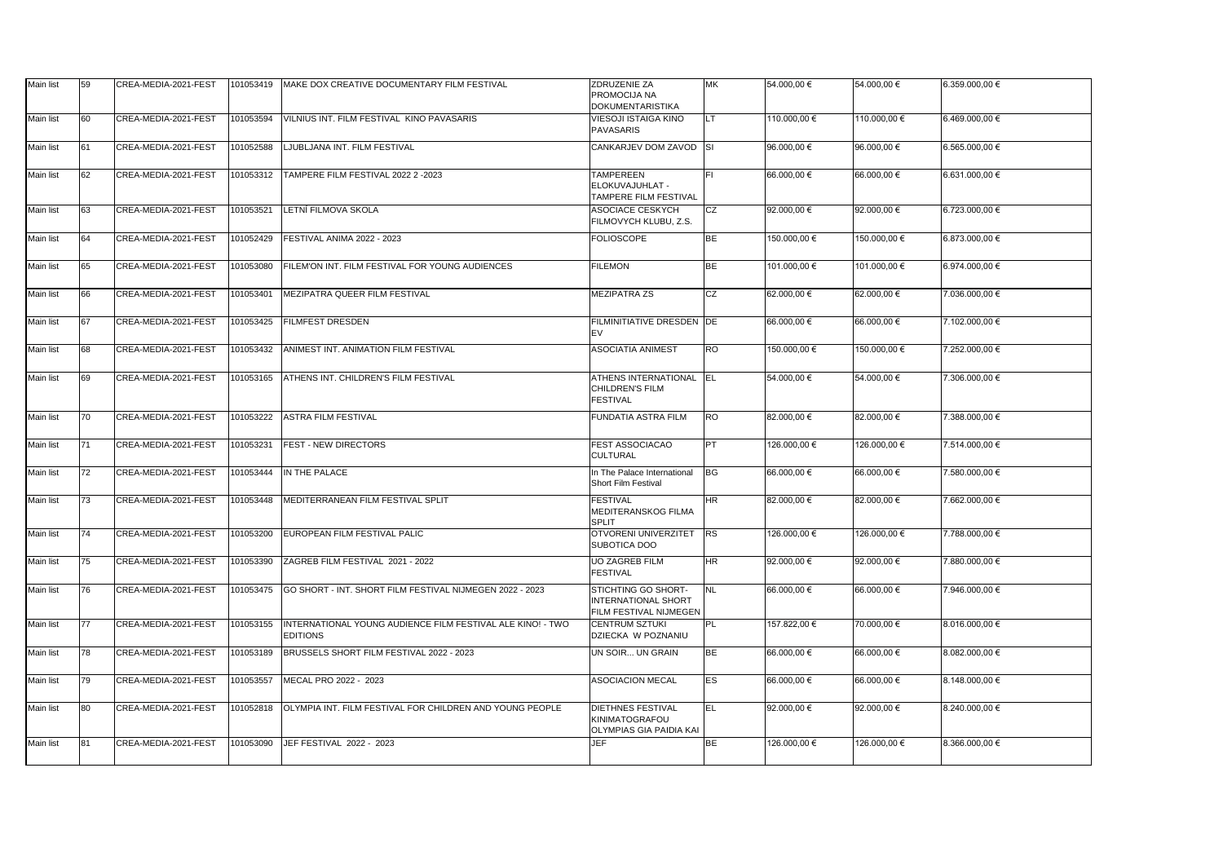| <b>Main list</b> | 59               | CREA-MEDIA-2021-FEST | 101053419 | MAKE DOX CREATIVE DOCUMENTARY FILM FESTIVAL                                   | ZDRUZENIE ZA<br><b>PROMOCIJA NA</b><br><b>DOKUMENTARISTIKA</b>                     | <b>MK</b> | 54.000,00 €  | 54.000,00 €  | 6.359.000,00 € |
|------------------|------------------|----------------------|-----------|-------------------------------------------------------------------------------|------------------------------------------------------------------------------------|-----------|--------------|--------------|----------------|
| Main list        | 60               | CREA-MEDIA-2021-FEST | 101053594 | VILNIUS INT. FILM FESTIVAL KINO PAVASARIS                                     | <b>VIESOJI ISTAIGA KINO</b><br>PAVASARIS                                           | LT        | 110.000,00 € | 110.000,00 € | 6.469.000,00 € |
| <b>Main list</b> | 61               | CREA-MEDIA-2021-FEST | 101052588 | <b>LJUBLJANA INT. FILM FESTIVAL</b>                                           | CANKARJEV DOM ZAVOD SI                                                             |           | 96.000,00 €  | 96.000,00 €  | 6.565.000,00 € |
| <b>Main list</b> | 62               | CREA-MEDIA-2021-FEST | 101053312 | TAMPERE FILM FESTIVAL 2022 2 -2023                                            | <b>TAMPEREEN</b><br>ELOKUVAJUHLAT -<br>TAMPERE FILM FESTIVAL                       | lFI.      | 66.000,00 €  | 66.000,00 €  | 6.631.000,00 € |
| Main list        | 63               | CREA-MEDIA-2021-FEST | 101053521 | <b>LETNÍ FILMOVA SKOLA</b>                                                    | <b>ASOCIACE CESKYCH</b><br>FILMOVYCH KLUBU, Z.S.                                   | <b>CZ</b> | 92.000,00 €  | 92.000,00 €  | 6.723.000,00 € |
| Main list        | 64               | CREA-MEDIA-2021-FEST | 101052429 | FESTIVAL ANIMA 2022 - 2023                                                    | <b>FOLIOSCOPE</b>                                                                  | <b>BE</b> | 150.000,00 € | 150.000,00 € | 6.873.000,00 € |
| Main list        | 65               | CREA-MEDIA-2021-FEST | 101053080 | FILEM'ON INT. FILM FESTIVAL FOR YOUNG AUDIENCES                               | <b>FILEMON</b>                                                                     | <b>BE</b> | 101.000,00 € | 101.000,00 € | 6.974.000,00 € |
| Main list        | 66               | CREA-MEDIA-2021-FEST | 101053401 | MEZIPATRA QUEER FILM FESTIVAL                                                 | <b>MEZIPATRA ZS</b>                                                                | <b>CZ</b> | 62.000,00 €  | 62.000,00 €  | 7.036.000,00 € |
| Main list        | 67               | CREA-MEDIA-2021-FEST | 101053425 | <b>FILMFEST DRESDEN</b>                                                       | FILMINITIATIVE DRESDEN DE                                                          |           | 66.000,00 €  | 66.000,00 €  | 7.102.000,00 € |
| Main list        | 68               | CREA-MEDIA-2021-FEST | 101053432 | ANIMEST INT. ANIMATION FILM FESTIVAL                                          | <b>ASOCIATIA ANIMEST</b>                                                           | <b>RO</b> | 150.000,00 € | 150.000,00 € | 7.252.000,00 € |
| Main list        | 69               | CREA-MEDIA-2021-FEST | 101053165 | ATHENS INT. CHILDREN'S FILM FESTIVAL                                          | ATHENS INTERNATIONAL<br><b>CHILDREN'S FILM</b><br><b>FESTIVAL</b>                  | <b>EL</b> | 54.000,00 €  | 54.000,00 €  | 7.306.000,00 € |
| Main list        | 70               | CREA-MEDIA-2021-FEST | 101053222 | <b>ASTRA FILM FESTIVAL</b>                                                    | <b>FUNDATIA ASTRA FILM</b>                                                         | <b>RO</b> | 82.000,00 €  | 82.000,00 €  | 7.388.000,00 € |
| Main list        | 71               | CREA-MEDIA-2021-FEST | 101053231 | <b>FEST - NEW DIRECTORS</b>                                                   | FEST ASSOCIACAO<br><b>CULTURAL</b>                                                 | <b>PT</b> | 126.000,00 € | 126.000,00 € | 7.514.000,00 € |
| Main list        | 72               | CREA-MEDIA-2021-FEST | 101053444 | <b>IN THE PALACE</b>                                                          | In The Palace International<br><b>Short Film Festival</b>                          | <b>BG</b> | 66.000,00 €  | 66.000,00 €  | 7.580.000,00 € |
| Main list        | $\overline{173}$ |                      |           | CREA-MEDIA-2021-FEST 101053448 MEDITERRANEAN FILM FESTIVAL SPLIT              | <b>FESTIVAL</b><br><b>MEDITERANSKOG FILMA</b><br><b>SPLIT</b>                      | <b>HR</b> | 82.000,00 €  | 82.000,00 €  | 7.662.000,00 € |
| <b>Main list</b> | 74               | CREA-MEDIA-2021-FEST | 101053200 | EUROPEAN FILM FESTIVAL PALIC                                                  | <b>OTVORENI UNIVERZITET</b><br><b>SUBOTICA DOO</b>                                 | <b>RS</b> | 126.000,00 € | 126.000,00 € | 7.788.000,00 € |
| Main list        | 75               | CREA-MEDIA-2021-FEST | 101053390 | ZAGREB FILM FESTIVAL 2021 - 2022                                              | <b>UO ZAGREB FILM</b><br><b>FESTIVAL</b>                                           | HR        | 92.000,00 €  | 92.000,00 €  | 7.880.000,00 € |
| <b>Main list</b> | 76               | CREA-MEDIA-2021-FEST |           | 101053475 GO SHORT - INT. SHORT FILM FESTIVAL NIJMEGEN 2022 - 2023            | STICHTING GO SHORT-<br><b>INTERNATIONAL SHORT</b><br><b>FILM FESTIVAL NIJMEGEN</b> | <b>NL</b> | 66.000,00 €  | 66.000,00 €  | 7.946.000,00 € |
| <b>Main list</b> | 77               | CREA-MEDIA-2021-FEST | 101053155 | INTERNATIONAL YOUNG AUDIENCE FILM FESTIVAL ALE KINO! - TWO<br><b>EDITIONS</b> | <b>CENTRUM SZTUKI</b><br>DZIECKA W POZNANIU                                        | PL.       | 157.822,00 € | 70.000,00 €  | 8.016.000,00 € |
| Main list        | 78               | CREA-MEDIA-2021-FEST | 101053189 | BRUSSELS SHORT FILM FESTIVAL 2022 - 2023                                      | UN SOIR UN GRAIN                                                                   | BE        | 66.000,00 €  | 66.000,00 €  | 8.082.000,00 € |
| <b>Main list</b> | 79               | CREA-MEDIA-2021-FEST | 101053557 | MECAL PRO 2022 - 2023                                                         | <b>ASOCIACION MECAL</b>                                                            | <b>ES</b> | 66.000,00 €  | 66.000,00 €  | 8.148.000,00 € |
| Main list        | 80               | CREA-MEDIA-2021-FEST | 101052818 | OLYMPIA INT. FILM FESTIVAL FOR CHILDREN AND YOUNG PEOPLE                      | <b>DIETHNES FESTIVAL</b><br>KINIMATOGRAFOU<br><b>OLYMPIAS GIA PAIDIA KAI</b>       | <b>EL</b> | 92.000,00 €  | 92.000,00 €  | 8.240.000,00 € |
| Main list        | 81               | CREA-MEDIA-2021-FEST | 101053090 | JEF FESTIVAL 2022 - 2023                                                      | <b>JEF</b>                                                                         | <b>BE</b> | 126.000,00 € | 126.000,00 € | 8.366.000,00 € |